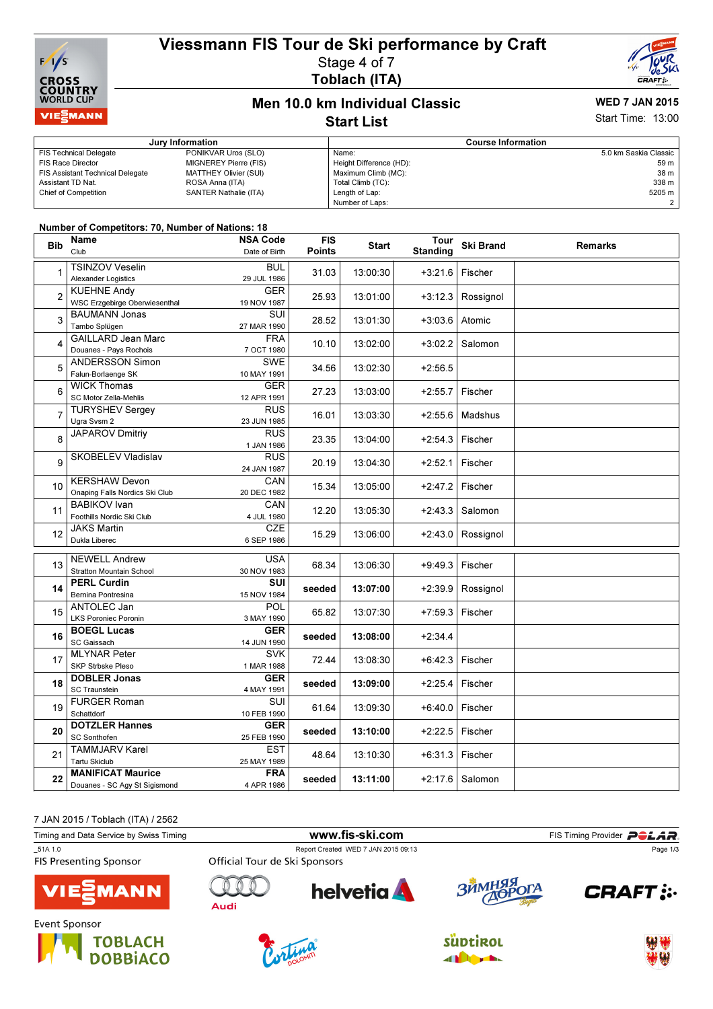# Viessmann FIS Tour de Ski performance by Craft Stage 4 of 7



Toblach (ITA)



### Men 10.0 km Individual Classic Start List

# WED 7 JAN 2015

Start Time: 13:00

|                                         | Jury Information      | <b>Course Information</b> |                       |  |
|-----------------------------------------|-----------------------|---------------------------|-----------------------|--|
| <b>FIS Technical Delegate</b>           | PONIKVAR Uros (SLO)   | Name:                     | 5.0 km Saskia Classic |  |
| FIS Race Director                       | MIGNEREY Pierre (FIS) | Height Difference (HD):   | 59 <sub>m</sub>       |  |
| <b>FIS Assistant Technical Delegate</b> | MATTHEY Olivier (SUI) | Maximum Climb (MC):       | 38 m                  |  |
| Assistant TD Nat.                       | ROSA Anna (ITA)       | Total Climb (TC):         | 338 m                 |  |
| <b>Chief of Competition</b>             | SANTER Nathalie (ITA) | Length of Lap:            | 5205 m                |  |
|                                         |                       | Number of Laps:           |                       |  |

#### Number of Competitors: 70, Number of Nations: 18

| <b>Bib</b>     | Name<br>Club                                               | <b>NSA Code</b><br>Date of Birth | <b>FIS</b><br><b>Points</b> | <b>Start</b> | Tour<br><b>Standing</b> | <b>Ski Brand</b> | <b>Remarks</b> |
|----------------|------------------------------------------------------------|----------------------------------|-----------------------------|--------------|-------------------------|------------------|----------------|
|                | <b>TSINZOV Veselin</b><br><b>Alexander Logistics</b>       | <b>BUL</b><br>29 JUL 1986        | 31.03                       | 13:00:30     | +3:21.6                 | Fischer          |                |
| $\overline{2}$ | <b>KUEHNE Andy</b><br><b>WSC Erzgebirge Oberwiesenthal</b> | <b>GER</b><br>19 NOV 1987        | 25.93                       | 13:01:00     | $+3:12.3$               | Rossignol        |                |
| 3              | <b>BAUMANN Jonas</b><br>Tambo Splügen                      | SUI<br>27 MAR 1990               | 28.52                       | 13:01:30     | $+3:03.6$               | Atomic           |                |
| 4              | <b>GAILLARD Jean Marc</b><br>Douanes - Pays Rochois        | <b>FRA</b><br>7 OCT 1980         | 10.10                       | 13:02:00     | $+3:02.2$               | Salomon          |                |
| 5              | ANDERSSON Simon<br>Falun-Borlaenge SK                      | <b>SWE</b><br>10 MAY 1991        | 34.56                       | 13:02:30     | $+2:56.5$               |                  |                |
| 6              | <b>WICK Thomas</b><br>SC Motor Zella-Mehlis                | <b>GER</b><br>12 APR 1991        | 27.23                       | 13:03:00     | $+2:55.7$               | Fischer          |                |
| 7              | <b>TURYSHEV Sergey</b><br>Ugra Svsm 2                      | <b>RUS</b><br>23 JUN 1985        | 16.01                       | 13:03:30     | $+2:55.6$               | Madshus          |                |
| 8              | <b>JAPAROV Dmitriy</b>                                     | <b>RUS</b><br>1 JAN 1986         | 23.35                       | 13:04:00     | $+2:54.3$               | Fischer          |                |
| 9              | SKOBELEV Vladislav                                         | <b>RUS</b><br>24 JAN 1987        | 20.19                       | 13:04:30     | $+2:52.1$               | Fischer          |                |
| 10             | <b>KERSHAW Devon</b><br>Onaping Falls Nordics Ski Club     | CAN<br>20 DEC 1982               | 15.34                       | 13:05:00     | $+2:47.2$               | Fischer          |                |
| 11             | <b>BABIKOV</b> Ivan<br>Foothills Nordic Ski Club           | CAN<br>4 JUL 1980                | 12.20                       | 13:05:30     | $+2:43.3$               | Salomon          |                |
| 12             | <b>JAKS Martin</b><br>Dukla Liberec                        | <b>CZE</b><br>6 SEP 1986         | 15.29                       | 13:06:00     | $+2:43.0$               | Rossignol        |                |
| 13             | <b>NEWELL Andrew</b><br><b>Stratton Mountain School</b>    | <b>USA</b><br>30 NOV 1983        | 68.34                       | 13:06:30     | $+9:49.3$               | Fischer          |                |
| 14             | <b>PERL Curdin</b><br>Bernina Pontresina                   | SUI<br>15 NOV 1984               | seeded                      | 13:07:00     | $+2:39.9$               | Rossignol        |                |
| 15             | ANTOLEC Jan<br><b>LKS Poroniec Poronin</b>                 | <b>POL</b><br>3 MAY 1990         | 65.82                       | 13:07:30     | +7:59.3                 | Fischer          |                |
| 16             | <b>BOEGL Lucas</b><br>SC Gaissach                          | <b>GER</b><br>14 JUN 1990        | seeded                      | 13:08:00     | $+2:34.4$               |                  |                |
| 17             | <b>MLYNAR Peter</b><br><b>SKP Strbske Pleso</b>            | <b>SVK</b><br>1 MAR 1988         | 72.44                       | 13:08:30     | +6:42.3   Fischer       |                  |                |
| 18             | <b>DOBLER Jonas</b><br><b>SC Traunstein</b>                | <b>GER</b><br>4 MAY 1991         | seeded                      | 13:09:00     | $+2:25.4$               | Fischer          |                |
| 19             | <b>FURGER Roman</b><br>Schattdorf                          | <b>SUI</b><br>10 FEB 1990        | 61.64                       | 13:09:30     | $+6:40.0$               | Fischer          |                |
| 20             | <b>DOTZLER Hannes</b><br>SC Sonthofen                      | <b>GER</b><br>25 FEB 1990        | seeded                      | 13:10:00     | $+2:22.5$               | Fischer          |                |
| 21             | <b>TAMMJARV Karel</b><br><b>Tartu Skiclub</b>              | <b>EST</b><br>25 MAY 1989        | 48.64                       | 13:10:30     | $+6:31.3$               | Fischer          |                |
| 22             | <b>MANIFICAT Maurice</b><br>Douanes - SC Agy St Sigismond  | <b>FRA</b><br>4 APR 1986         | seeded                      | 13:11:00     | $+2:17.6$               | Salomon          |                |

7 JAN 2015 / Toblach (ITA) / 2562

| 0.11122101111111111120022               |                               |                                     |            |                                    |  |  |
|-----------------------------------------|-------------------------------|-------------------------------------|------------|------------------------------------|--|--|
| Timing and Data Service by Swiss Timing |                               | www.fis-ski.com                     |            | FIS Timing Provider <b>POLAR</b> . |  |  |
| 51A 1.0                                 |                               | Report Created WED 7 JAN 2015 09:13 |            |                                    |  |  |
| <b>FIS Presenting Sponsor</b>           | Official Tour de Ski Sponsors |                                     |            |                                    |  |  |
| <b>VIESMANN</b>                         | Audi                          | <b>helvetia</b>                     | ЗЙМНЯЯ ОГА | <b>CRAFT:</b>                      |  |  |
| Event Sponsor<br>TOBLACH                |                               |                                     | SUDtiROL   | <b>SALAR</b>                       |  |  |







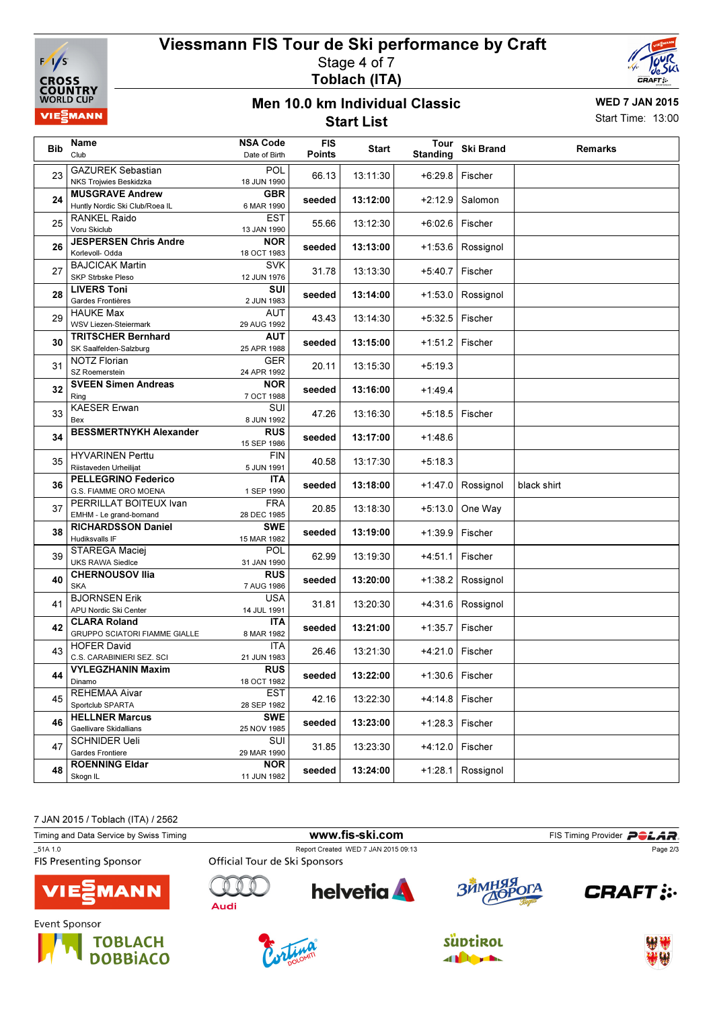

# Viessmann FIS Tour de Ski performance by Craft Stage 4 of 7 Toblach (ITA)



#### Men 10.0 km Individual Classic Start List

WED 7 JAN 2015 Start Time: 13:00

| <b>Bib</b> | Name<br>Club                                                | <b>NSA Code</b><br>Date of Birth | <b>FIS</b><br><b>Points</b> | Start    | Tour<br><b>Standing</b> | <b>Ski Brand</b>    | <b>Remarks</b> |
|------------|-------------------------------------------------------------|----------------------------------|-----------------------------|----------|-------------------------|---------------------|----------------|
| 23         | <b>GAZUREK Sebastian</b><br>NKS Trojwies Beskidzka          | <b>POL</b><br>18 JUN 1990        | 66.13                       | 13:11:30 | $+6:29.8$               | Fischer             |                |
| 24         | <b>MUSGRAVE Andrew</b><br>Huntly Nordic Ski Club/Roea IL    | <b>GBR</b><br>6 MAR 1990         | seeded                      | 13:12:00 | $+2:12.9$               | Salomon             |                |
| 25         | RANKEL Raido<br>Voru Skiclub                                | <b>EST</b><br>13 JAN 1990        | 55.66                       | 13:12:30 | $+6:02.6$               | Fischer             |                |
| 26         | <b>JESPERSEN Chris Andre</b><br>Korlevoll- Odda             | <b>NOR</b><br>18 OCT 1983        | seeded                      | 13:13:00 | $+1:53.6$               | Rossignol           |                |
| 27         | <b>BAJCICAK Martin</b><br><b>SKP Strbske Pleso</b>          | <b>SVK</b><br>12 JUN 1976        | 31.78                       | 13:13:30 | $+5:40.7$               | Fischer             |                |
| 28         | <b>LIVERS Toni</b><br>Gardes Frontières                     | <b>SUI</b><br>2 JUN 1983         | seeded                      | 13:14:00 | $+1:53.0$               | Rossignol           |                |
| 29         | <b>HAUKE Max</b><br><b>WSV Liezen-Steiermark</b>            | AUT<br>29 AUG 1992               | 43.43                       | 13:14:30 | $+5:32.5$               | Fischer             |                |
| 30         | <b>TRITSCHER Bernhard</b><br>SK Saalfelden-Salzburg         | <b>AUT</b><br>25 APR 1988        | seeded                      | 13:15:00 | $+1:51.2$               | Fischer             |                |
| 31         | <b>NOTZ Florian</b><br>SZ Roemerstein                       | GER<br>24 APR 1992               | 20.11                       | 13:15:30 | $+5:19.3$               |                     |                |
| 32         | <b>SVEEN Simen Andreas</b><br>Ring                          | <b>NOR</b><br>7 OCT 1988         | seeded                      | 13:16:00 | $+1:49.4$               |                     |                |
| 33         | <b>KAESER Erwan</b><br>Bex                                  | SUI<br>8 JUN 1992                | 47.26                       | 13:16:30 | $+5:18.5$               | Fischer             |                |
| 34         | <b>BESSMERTNYKH Alexander</b>                               | <b>RUS</b><br>15 SEP 1986        | seeded                      | 13:17:00 | $+1:48.6$               |                     |                |
| 35         | <b>HYVARINEN Perttu</b><br>Riistaveden Urheilijat           | <b>FIN</b><br>5 JUN 1991         | 40.58                       | 13:17:30 | $+5:18.3$               |                     |                |
| 36         | <b>PELLEGRINO Federico</b><br>G.S. FIAMME ORO MOENA         | ITA<br>1 SEP 1990                | seeded                      | 13:18:00 | $+1:47.0$               | Rossignol           | black shirt    |
| 37         | PERRILLAT BOITEUX Ivan<br>EMHM - Le grand-bornand           | <b>FRA</b><br>28 DEC 1985        | 20.85                       | 13:18:30 | $+5:13.0$               | One Way             |                |
| 38         | RICHARDSSON Daniel<br>Hudiksvalls IF                        | <b>SWE</b><br>15 MAR 1982        | seeded                      | 13:19:00 | $+1:39.9$               | Fischer             |                |
| 39         | STAREGA Maciej<br><b>UKS RAWA Siedlce</b>                   | <b>POL</b><br>31 JAN 1990        | 62.99                       | 13:19:30 | +4:51.1                 | Fischer             |                |
| 40         | <b>CHERNOUSOV Ilia</b><br><b>SKA</b>                        | <b>RUS</b><br>7 AUG 1986         | seeded                      | 13:20:00 | +1:38.2                 | Rossignol           |                |
| 41         | <b>BJORNSEN Erik</b><br>APU Nordic Ski Center               | <b>USA</b><br>14 JUL 1991        | 31.81                       | 13:20:30 | $+4:31.6$               | Rossignol           |                |
| 42         | <b>CLARA Roland</b><br><b>GRUPPO SCIATORI FIAMME GIALLE</b> | <b>ITA</b><br>8 MAR 1982         | seeded                      | 13:21:00 | $+1:35.7$               | Fischer             |                |
| 43         | <b>HOFER David</b><br>C.S. CARABINIERI SEZ. SCI             | <b>ITA</b><br>21 JUN 1983        | 26.46                       | 13:21:30 | +4:21.0                 | Fischer             |                |
| 44         | <b>VYLEGZHANIN Maxim</b><br>Dinamo                          | <b>RUS</b><br>18 OCT 1982        | seeded                      | 13:22:00 |                         | $+1:30.6$   Fischer |                |
| 45         | REHEMAA Aivar<br>Sportclub SPARTA                           | EST<br>28 SEP 1982               | 42.16                       | 13:22:30 | $+4:14.8$               | Fischer             |                |
| 46         | <b>HELLNER Marcus</b><br><b>Gaellivare Skidallians</b>      | <b>SWE</b><br>25 NOV 1985        | seeded                      | 13:23:00 | $+1:28.3$               | Fischer             |                |
| 47         | <b>SCHNIDER Ueli</b><br>Gardes Frontiere                    | SUI<br>29 MAR 1990               | 31.85                       | 13:23:30 | $+4:12.0$               | Fischer             |                |
| 48         | <b>ROENNING Eldar</b><br>Skogn IL                           | <b>NOR</b><br>11 JUN 1982        | seeded                      | 13:24:00 | $+1:28.1$               | Rossignol           |                |

7 JAN 2015 / Toblach (ITA) / 2562

**DOBBIACO** 



**All Digital**